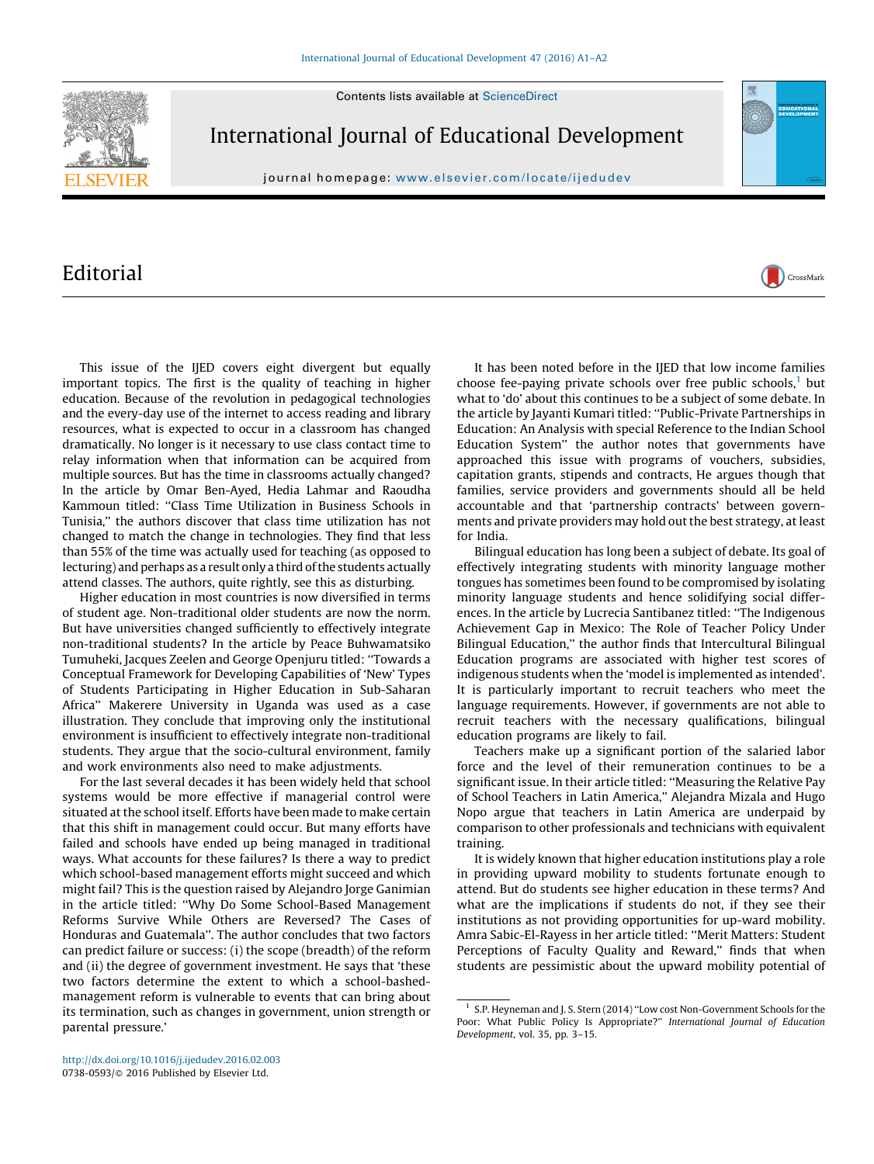Contents lists available at [ScienceDirect](http://www.sciencedirect.com/science/journal/07380593)



International Journal of Educational Development

journal homepage: www.elsevier.com/locate/ijedudev

## Editorial

This issue of the IJED covers eight divergent but equally important topics. The first is the quality of teaching in higher education. Because of the revolution in pedagogical technologies and the every-day use of the internet to access reading and library resources, what is expected to occur in a classroom has changed dramatically. No longer is it necessary to use class contact time to relay information when that information can be acquired from multiple sources. But has the time in classrooms actually changed? In the article by Omar Ben-Ayed, Hedia Lahmar and Raoudha Kammoun titled: ''Class Time Utilization in Business Schools in Tunisia,'' the authors discover that class time utilization has not changed to match the change in technologies. They find that less than 55% of the time was actually used for teaching (as opposed to lecturing) and perhaps as a result only a third of the students actually attend classes. The authors, quite rightly, see this as disturbing.

Higher education in most countries is now diversified in terms of student age. Non-traditional older students are now the norm. But have universities changed sufficiently to effectively integrate non-traditional students? In the article by Peace Buhwamatsiko Tumuheki, Jacques Zeelen and George Openjuru titled: ''Towards a Conceptual Framework for Developing Capabilities of 'New' Types of Students Participating in Higher Education in Sub-Saharan Africa'' Makerere University in Uganda was used as a case illustration. They conclude that improving only the institutional environment is insufficient to effectively integrate non-traditional students. They argue that the socio-cultural environment, family and work environments also need to make adjustments.

For the last several decades it has been widely held that school systems would be more effective if managerial control were situated at the school itself. Efforts have been made to make certain that this shift in management could occur. But many efforts have failed and schools have ended up being managed in traditional ways. What accounts for these failures? Is there a way to predict which school-based management efforts might succeed and which might fail? This is the question raised by Alejandro Jorge Ganimian in the article titled: ''Why Do Some School-Based Management Reforms Survive While Others are Reversed? The Cases of Honduras and Guatemala''. The author concludes that two factors can predict failure or success: (i) the scope (breadth) of the reform and (ii) the degree of government investment. He says that 'these two factors determine the extent to which a school-bashedmanagement reform is vulnerable to events that can bring about its termination, such as changes in government, union strength or parental pressure.'

It has been noted before in the IJED that low income families choose fee-paying private schools over free public schools.<sup>1</sup> but what to 'do' about this continues to be a subject of some debate. In the article by Jayanti Kumari titled: ''Public-Private Partnerships in Education: An Analysis with special Reference to the Indian School Education System'' the author notes that governments have approached this issue with programs of vouchers, subsidies, capitation grants, stipends and contracts, He argues though that families, service providers and governments should all be held accountable and that 'partnership contracts' between governments and private providers may hold out the best strategy, at least for India.

CrossMark

Bilingual education has long been a subject of debate. Its goal of effectively integrating students with minority language mother tongues has sometimes been found to be compromised by isolating minority language students and hence solidifying social differences. In the article by Lucrecia Santibanez titled: ''The Indigenous Achievement Gap in Mexico: The Role of Teacher Policy Under Bilingual Education,'' the author finds that Intercultural Bilingual Education programs are associated with higher test scores of indigenous students when the 'model is implemented as intended'. It is particularly important to recruit teachers who meet the language requirements. However, if governments are not able to recruit teachers with the necessary qualifications, bilingual education programs are likely to fail.

Teachers make up a significant portion of the salaried labor force and the level of their remuneration continues to be a significant issue. In their article titled: ''Measuring the Relative Pay of School Teachers in Latin America,'' Alejandra Mizala and Hugo Nopo argue that teachers in Latin America are underpaid by comparison to other professionals and technicians with equivalent training.

It is widely known that higher education institutions play a role in providing upward mobility to students fortunate enough to attend. But do students see higher education in these terms? And what are the implications if students do not, if they see their institutions as not providing opportunities for up-ward mobility. Amra Sabic-El-Rayess in her article titled: ''Merit Matters: Student Perceptions of Faculty Quality and Reward," finds that when students are pessimistic about the upward mobility potential of

<sup>&</sup>lt;sup>1</sup> S.P. Heyneman and J. S. Stern (2014) "Low cost Non-Government Schools for the Poor: What Public Policy Is Appropriate?'' International Journal of Education Development, vol. 35, pp. 3–15.